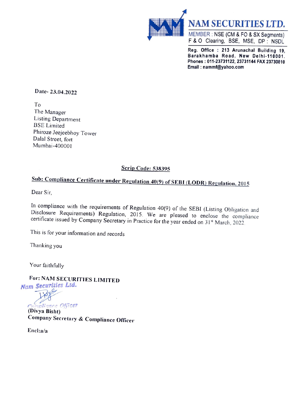

Reg. Office : 213 Arunachal Building 19, Barakhamba Road, New Delhi-110001. Phones : 011-23731122, 23731144 FAX 23730810 Email : nammf@yahoo.com

Date- 23.04.2022

To The Manager Listing Department BSE Limited Phiroze Jeejeebhoy Tower Dalal Street, fort Mumbai-400001

### Scrip Code: 538395

# Sub: Compliance Certificate under Regulation 40(9) of SEBI (LODR) Regulation. <sup>2015</sup>

Dear Sir,

In compliance with the requirements of Regulation 40(9) of the SEBI (Listing Obligation and Disclosure Requirements) Regulation, 2015. We are pleased to enclose the compliance certificate issued by Company Secretary in Pr

This is for your information and records

Thanking you

Your faithfully

For: NAM SECURITIES LIMITED Nam Securities Lta.

 $F_{\text{eff}}$ Compliance Officer

Company Secretary & Compliance Officer

Encl:a/a